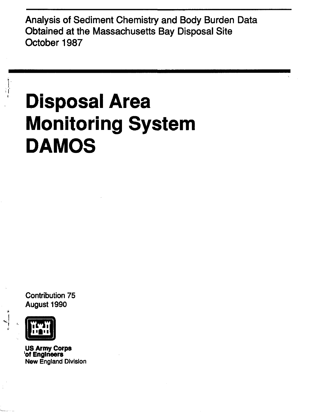Analysis of Sediment Chemistry and Body Burden Data Obtained at the Massachusetts Bay Disposal Site October 1987

# **Disposal Area Monitoring System DAMOS**

Contribution 75 August 1990



;;

 $\prod_{i=1}^n \frac{1}{i}$  $\hat{W}$ 

> US Army Corps 10f EngIneers New England Division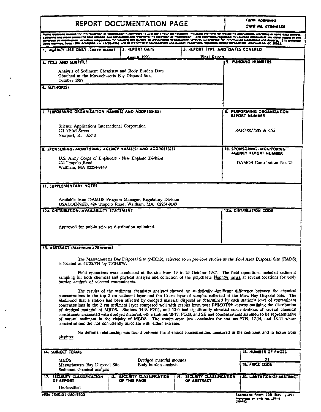| REPORT DOCUMENTATION PAGE                                                                                                                                                                                                                                                                                                                                                                                                                                                                                                                                                                                                                                                                                                   | Form Acoroved<br>OMB No. 0704-0186                |
|-----------------------------------------------------------------------------------------------------------------------------------------------------------------------------------------------------------------------------------------------------------------------------------------------------------------------------------------------------------------------------------------------------------------------------------------------------------------------------------------------------------------------------------------------------------------------------------------------------------------------------------------------------------------------------------------------------------------------------|---------------------------------------------------|
| Wana statent for this conscion of intermation is estimated to average 1 hour per revapility including the time for reviewing instructions, veerching enture aaso volutery.<br>callumina and maintaining the data nevees, and comparing and revening the collection or information. Henc comments requiring this quiden extinate or any other aspect of this<br>candizial of information, including subgeodies for reducing this Sunder. to Wahandton neboquation Services, Directorsed for information Deprodient and Associa, 1215 Jere<br>Dain imprisor, Suite 1204. Animaton, v.a. 12202-4302, and to the Othre of Management and Guadet, Fademors Republic Project (0704-0188), Washington, OC 20583,                   |                                                   |
| 2. REPORT DATE<br>1. AGENCY USE ONLY (Leave OIANX)                                                                                                                                                                                                                                                                                                                                                                                                                                                                                                                                                                                                                                                                          | 3. REPORT TYPE AND DATES COVERED                  |
| August 1990.<br>4. TITLE AND SUSTITLE                                                                                                                                                                                                                                                                                                                                                                                                                                                                                                                                                                                                                                                                                       | <b>Final Report</b><br><b>5. FUNDING NUMBERS</b>  |
| Analysis of Sediment Chemistry and Body Burden Data<br>Obtained at the Massachusetts Bay Disposal Site,<br>October 1987                                                                                                                                                                                                                                                                                                                                                                                                                                                                                                                                                                                                     |                                                   |
| <b>L. AUTHORISI</b>                                                                                                                                                                                                                                                                                                                                                                                                                                                                                                                                                                                                                                                                                                         |                                                   |
| 7. PERFORMING ORGANIZATION NAME(S) AND ADDRESS(ES)                                                                                                                                                                                                                                                                                                                                                                                                                                                                                                                                                                                                                                                                          | 8. PERFORMING ORGANIZATION<br>REPORT NUMBER       |
| Science Applications International Corporation<br>221 Third Street<br>Newport, RI 02840                                                                                                                                                                                                                                                                                                                                                                                                                                                                                                                                                                                                                                     | SAIC-88/7535 & C73                                |
| 9. SPONSORING/MONITORING AGENCY NAME(S) AND ADDRESS(ES)                                                                                                                                                                                                                                                                                                                                                                                                                                                                                                                                                                                                                                                                     | 10. SPONSORING / MONITORING                       |
| U.S. Army Corps of Engineers - New England Division<br>424 Trapelo Road<br>Waltham, MA 02254-9149                                                                                                                                                                                                                                                                                                                                                                                                                                                                                                                                                                                                                           | AGENCY REPORT NUMBER<br>DAMOS Contribution No. 75 |
| Available from DAMOS Program Manager, Regulatory Division<br>USACOE-NED, 424 Trapelo Road, Waltham, MA 02254-9149<br>122. DISTRIBUTION / AVAILABILITY STATEMENT                                                                                                                                                                                                                                                                                                                                                                                                                                                                                                                                                             | <b>12b. DISTRIBUTION CODE</b>                     |
| Approved for public release; distribution unlimited.                                                                                                                                                                                                                                                                                                                                                                                                                                                                                                                                                                                                                                                                        |                                                   |
| 13. ABSTRACT (Massimum 200 words)                                                                                                                                                                                                                                                                                                                                                                                                                                                                                                                                                                                                                                                                                           |                                                   |
| The Massachusetts Bay Disposal Site (MBDS), referred to in previous studies as the Foul Area Disposal Site (FADS)<br>is located at $42^{\circ}25.7N$ by $70^{\circ}34.0^{\circ}N$ .                                                                                                                                                                                                                                                                                                                                                                                                                                                                                                                                         |                                                   |
| Field operations were conducted at the site from 19 to 29 October 1987. The field operations included sediment<br>sampling for both chemical and physical analysis and collection of the polychaete Nephtys incisa at several locations for body<br>burden analysis of selected contaminants.                                                                                                                                                                                                                                                                                                                                                                                                                               |                                                   |
| The results of the sediment chemistry analyses showed no statistically significant difference between the chemical<br>concentrations in the top 2 cm sediment layer and the 10 cm layer of samples collected at the Mass Bay Disposal Site. The                                                                                                                                                                                                                                                                                                                                                                                                                                                                             |                                                   |
| likelihood that a station had been affected by dredged material disposal as determined by each station's level of contaminant<br>concentrations in the 2 cm sediment layer compared well with results from past REMOTS® surveys outlining the distribution<br>of dredged material at MBDS. Stations 14-9, FG11, and 12-0 had significantly elevated concentrations of several chemical<br>constituents associated with dredged material, while stations 18-17, FG23, and SE had concentrations assumed to be representative<br>of natural sediment in the vicinity of MBDS. The results were less conclusive for stations FG9, 17-14, and 16-11 where<br>concentrations did not consistently associate with either extreme. |                                                   |
| No definite relationship was found between the chemical concentrations measured in the sediment and in tissue from<br>Nephtys.                                                                                                                                                                                                                                                                                                                                                                                                                                                                                                                                                                                              |                                                   |
|                                                                                                                                                                                                                                                                                                                                                                                                                                                                                                                                                                                                                                                                                                                             | <b>15. NUMBER OF PAGES</b>                        |
| MBDS<br>Dredged material mounds<br>Body burden analysis<br>Massachusetts Bay Disposal Site<br>Sediment chemical analysis                                                                                                                                                                                                                                                                                                                                                                                                                                                                                                                                                                                                    | <b>16. PRICE CODE</b>                             |
| <b>14. SUBJECT TERMS</b><br><b>18. SECURITY CLASSIFICATION</b><br>17. SECURITY CLASSIFICATION<br>19. SECURITY CLASSIFICATION<br>OF REPORT<br>OF THIS FAGE<br>OF ABSTRACT                                                                                                                                                                                                                                                                                                                                                                                                                                                                                                                                                    | <b>20. LIMITATION OF ASSTRACT</b>                 |

 $\mathbf{u}$ 

 $\mathcal{L}^{\mathcal{L}}$ 

 $\prec$ 

 $\hat{\mathbf{r}}$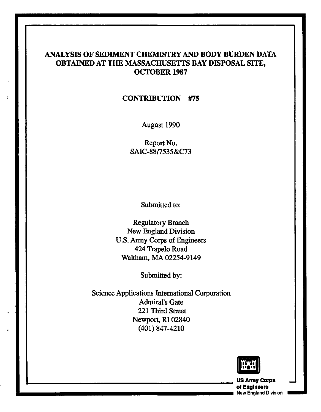# **ANALYSIS OF SEDIMENT CHEMISTRY AND BODY BURDEN DATA OBTAINED AT THE MASSACHUSETTS BAY DISPOSAL SITE, OCTOBER 1987**

# **CONTRIBUTION #75**

August 1990

Report No. SAIC-88/7535&C73

Submitted to:

Regulatory Branch New England Division U.S. Army Corps of Engineers 424 Trapelo Road Waltham, MA 02254-9149

Submitted by:

Science Applications International Corporation Admiral's Gate 221 Third Street Newport, RI 02840 (401) 847-4210



**of Engineers ... \_\_\_\_\_\_\_\_\_\_\_\_\_\_\_\_\_\_\_\_\_\_** NawEnglandDlvislon **\_ ..**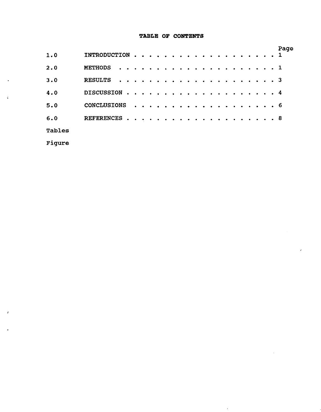# **TABLE OF CONTENTS**

| 1.0    |                    |  |  |  |  |   |  |  |  |  |  |     | Page |
|--------|--------------------|--|--|--|--|---|--|--|--|--|--|-----|------|
| 2.0    | <b>METHODS</b>     |  |  |  |  |   |  |  |  |  |  |     |      |
| 3.0    | <b>RESULTS</b>     |  |  |  |  |   |  |  |  |  |  |     |      |
| 4.0    | <b>DISCUSSION</b>  |  |  |  |  |   |  |  |  |  |  |     | - 4  |
| 5.0    | <b>CONCLUSIONS</b> |  |  |  |  | . |  |  |  |  |  | . 6 |      |
| 6.0    | <b>REFERENCES</b>  |  |  |  |  |   |  |  |  |  |  |     | - 8  |
| Tables |                    |  |  |  |  |   |  |  |  |  |  |     |      |

 $\hat{\boldsymbol{\epsilon}}$ 

 $\bar{\mathcal{A}}$ 

Figure

 $\sim$ 

 $\zeta$ 

 $\cdot$ 

 $\cdot$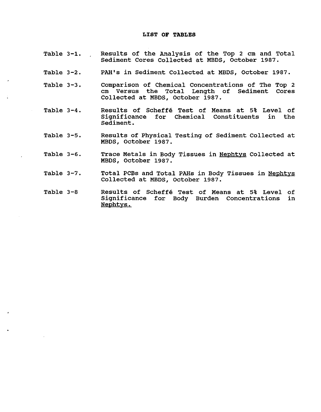#### **LIST OF TABLES**

- Table 3-1. Results of the Analysis of the Top 2 cm and Total Sediment Cores Collected at MBDS, october 1987.
- Table 3-2. PAR's in Sediment Collected at MBDS, October 1987.
- Table 3-3. comparison of Chemical Concentrations of The Top 2 cm Versus the Total Length of Sediment Cores Collected at MBDS, October 1987.
- Table 3-4. Results of Scheffé Test of Means at 5% Level of<br>Significance for Chemical Constituents in the Significance for Chemical Constituents Sediment.
- Table 3-5. Results of Physical Testing of Sediment Collected at MBDS, October 1987.
- Table 3-6. Trace Metals in Body Tissues in Nephtys Collected at MBDS, October 1987.
- Table 3-7. Total PCBs and Total PARs in Body Tissues in Nephtys Collected at MBDS, October 1987.
- Table 3-8 Results of Scheffé Test of Means at 5% Level of Significance for Body Burden Concentrations in Nephtys.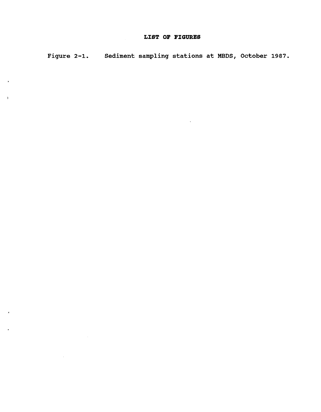Figure 2-1. Sediment sampling stations at MBDS, October 1987.

 $\sim$ 

 $\ddot{\bullet}$ 

 $\ddot{\mathrm{r}}$ 

 $\mathbf{A}$ 

 $\ddot{\phantom{a}}$ 

 $\mathcal{L}^{\text{max}}_{\text{max}}$  ,  $\mathcal{L}^{\text{max}}_{\text{max}}$ 

 $\sim 10^{-11}$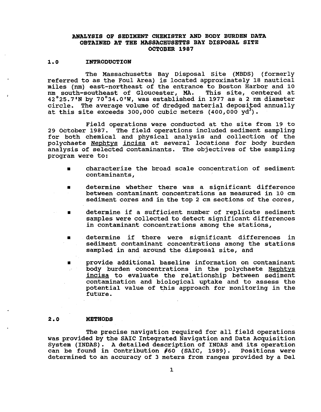### **ANALYSIS OF SEDIMENT CHEMISTRY AND BODY BURDEN DATA OBTAINED AT THE MASSACHUSETTS BAY DISPOSAL SITE OCTOBER 1987**

#### **1.0 INTRODUCTION**

The Massachusetts Bay Disposal site (MBDS) (formerly referred to as the Foul Area) is located approximately 18 nautical miles (nm) east-northeast of the entrance to Boston Harbor and 10 nm south-southeast of Gloucester, MA. This site, centered at 42°25.7'N by 70°34.0'W, was established in 1977 as a 2 nm diameter circle. The average volume of dredged material deposited annually at this site exceeds 300,000 cubic meters  $(400,000 \text{ yd}^3)$ .

Field operations were conducted at the site from 19 to 29 October 1987. The field operations included sediment sampling for both chemical and physical analysis and collection of the polychaete Nephtys incisa at several locations for body burden analysis of selected contaminants. The objectives of the sampling program were to:

- characterize the broad scale concentration of sediment contaminants,
- determine whether there was a significant difference between contaminant concentrations as measured in 10 cm sediment cores and in the top 2 cm sections of the cores,
- determine if a sufficient number of replicate sediment samples were collected to detect significant differences in contaminant concentrations among the stations,
- determine if there were significant differences in sediment contaminant concentrations among the stations sampled in and around the disposal site, and
- provide additional baseline information on contaminant body burden concentrations in the polychaete Nephtys incisa to evaluate the relationship between sediment contamination and biological uptake and to assess the potential value of this approach for monitoring in the future.

#### **2.0 METHODS**

The precise navigation required for all field operations was provided by the SAIC Integrated Navigation and Data Acquisition System (INDAS). A detailed description of INDAS and its operation can be found in Contribution #60 (SAIC, 1989). Positions were determined to an accuracy of 3 meters from ranges provided by a Del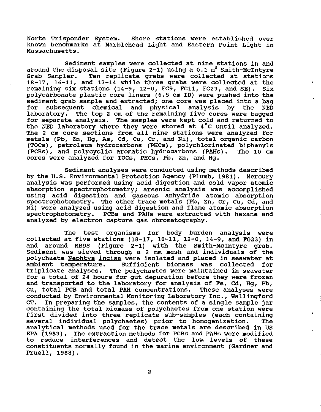Norte Trisponder system. Shore stations were established over known benchmarks at Marblehead Light and Eastern Point Light in Massachusetts.

Sediment samples were collected at nine stations in and around the disposal site (Figure 2-1) using a 0.1 m<sup>2</sup> Smith-McIntyre<br>Grab Sampler. Ten replicate grabs were collected at stations Ten replicate grabs were collected at stations 18-17, 16-11, and 17-14 while three grabs were collected at the remaining six stations (14-9, 12-0, FG9, FG11, FG23, and SE). six polycarbonate plastic core liners (6.5 cm 10) were pushed into the sediment grab sample and extracted; one core was placed into a bag<br>for subsequent chemical and physical analysis by the NED subsequent chemical and physical analysis by laboratory. The top 2 cm of the remaining five cores were bagged for separate analysis. The samples were kept cold and returned to the NED laboratory where they were stored at 4°C until analyzed. The 2 cm core sections from all nine stations were analyzed for metals (Pb, Zn, Hg, AS, Cd, Cu, Cr, and Ni), total organic carbon (TOCs), petroleum hydrocarbons (PHCs), polychlorinated biphenyls (PCBs), and polycyclic aromatic hydrocarbons (PAHs). The 10 cm (PCBs), and polycyclic aromatic hydrocarbons (PAHs). cores were analyzed for TOCs, PHCs, Pb, Zn, and Hg.

Sediment analyses were conducted using methods described by the U.S. Environmental Protection Agency (Plumb, 1981). Mercury analysis was performed using acid digestion and cold vapor atomic using acid digestion and gaseous anhydride atomic absorption spectrophotometry. The other trace metals (Pb, Zn, Cr, Cu, Cd, and Ni) were analyzed using acid digestion and flame atomic absorption spectrophotometry. PCBs and PAHs were extracted with hexane and analyzed by electron capture gas chromatography.

The test organisms for body burden analysis were collected at five stations (18-17, 16-11, 12-0, 14-9, and FG23) in<br>and around MBDS (Figure 2-1) with the Smith-McIntyre grab.  $(Figure 2-1)$  with the Smith-McIntyre grab. Sediment was sieved through a 2 mm mesh and individuals of the polychaete Nephtys incisa were isolated and placed in seawater at ambient temperature. Sufficient biomass was collected for Sufficient biomass was collected for triplicate analyses. The polychaetes were maintained in seawater for a total of 24 hours for gut depuration before they were frozen and transported to the laboratory for analysis of Fe, Cd, Hg, Pb, cu, total PCB and total PAH concentrations. These analyses were conducted by Environmental Monitoring Laboratory Inc., Wallingford CT. In preparing the samples, the contents of a single sample jar containing the total biomass of polychaetes from one station were first divided into three replicate sub-samples (each containing several individual polychaetes) prior to homogenization. The analytical methods used for the trace metals are described in US EPA (1983). The extraction methods for PCBs and PAHs were modified to reduce interferences and detect the low levels of these constituents normally found in the marine environment (Gardner and Pruell, 1988).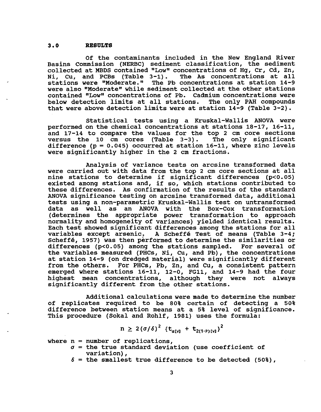#### **3.0 RESULTS**

Of the contaminants included in the New England River Basins Commission (NERBC) sediment classification, the sediment collected at MBDS contained "Low" concentrations of Hg, Cr, Cd, Zn, Ni, cu, and PCBs (Table 3-1). The As concentrations at all stations were "Moderate." The Pb concentrations at station 14-9 were also "Moderate" while sediment collected at the other stations contained "Low" concentrations of Pb. Cadmium concentrations were below detection limits at all stations. that were above detection limits were at station 14-9 (Table 3-2).

statistical tests using a Kruskal-Wallis ANOVA were performed on the chemical concentrations at stations 18-17, 16-11, and  $17-14$  to compare the values for the top 2 cm core sections versus the 10 cm cores (Table  $3-3$ ). The only significant versus the 10 cm cores (Table  $3-3$ ). difference  $(p = 0.045)$  occurred at station 16-11, where zinc levels were significantly higher in the 2 cm fractions.

Analysis of variance tests on arcsine transformed data were carried out with data from the top 2 cm core sections at all nine stations to determine if significant differences (p<O. 05) existed among stations and, if so, which stations contributed to these differences. As confirmation of the results of the standard ANOVA significance testing on arcsine transformed data, additional tests using a non-parametric Kruskal-Wallis test on untransformed data as well as an ANOVA with the Box-Cox transformation (determines the appropriate power transformation to approach normality and homogeneity of variances) yielded identical results. Each test showed significant differences among the stations for all variables except arsenic. A Scheffé Test of means (Table 3-4; A Scheffé Test of means (Table 3-4; Scheffe, 1957) was then performed to determine the similarities or differences (p<0.05) among the stations sampled. For several of the variables measured (PHCs, Ni, Cu, and Pb), the concentrations at station 14-9 (on dredged material) were significantly different from the others. For PHCs, Pb, Zn, and Cu, a consistent pattern emerged where stations 16-11, 12-0, FG11, and 14-9 had the four highest mean concentrations, although they were not always significantly different from the other stations.

Additional calculations were made to determine the number of replicates required to be 80% certain of detecting a 50% difference between station means at a 5% level of significance. This procedure (Sokal and Rohlf, 1981) uses the formula:

$$
n \ge 2(\sigma/\delta)^2 \{t_{\alpha[V]} + t_{2(1-P)[V]}\}^2
$$

where  $n = number of replications,$ 

- $\sigma$  = the true standard deviation (use coefficient of variation),
- $\delta$  = the smallest true difference to be detected (50%),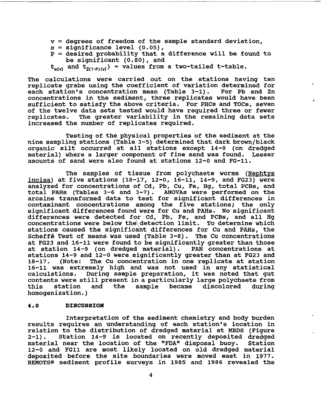- v = degrees of freedom of the sample standard deviation,
- $\alpha$  = significance level (0.05),

-----------------------------------------

- $P =$  desired probability that a difference will be found to be significant (0.80), and
- $t_{\alpha[V]}$  and  $t_{\alpha[V]}$  = values from a two-tailed t-table.

The calculations were carried out on the stations having ten replicate grabs using the coefficient of variation determined for each station's concentration mean (Table 3-1). For Pb and Zn concentrations in the sediment, three replicates would have been sufficient to satisfy the above criteria. For PHCs and TOCs, seven of the twelve data sets tested would have required three or fewer<br>replicates. The greater variability in the remaining data sets The greater variability in the remaining data sets increased the number of replicates required.

Testing of the physical properties of the sediment at the nine sampling stations (Table 3-5) determined that dark brown/black organic silt occurred at all stations except 14-9 (on dredged material) where a larger component of fine sand was found. Lesser amounts of sand were also found at stations 12-0 and FG-11.

The samples of tissue from polychaete worms (Nephtys incisa) at five stations (18-17, 12-0, 16-11, 14-9, and FG23) were analyzed for concentrations of Cd, Pb, Cu, Fe, Hg, total PCBs, and total PAHs (Tables 3-6 and 3-7). ANOVAs were performed on the arcsine transformed data to test for significant differences in contaminant concentrations among the five stations; the only significant differences found were for CU and PAHs. No significant significant differences found were for Cd and PARS. No significant<br>differences were detected for Cd, Pb, Fe, and PCBs, and all Hg concentrations were below the\detection limit. To determine which stations caused the significant differences for Cu and PAHs, the Scheffé Test of means was used (Table 3-8). The Cu concentrations at FG23 and 16-11 were found to be significantly greater than those at station 14-9 (on dredged material). PAH concentrations at stations 14-9 and 12-0 were significantly greater than at FG23 and 18-17. (Note: The Cu concentration in one replicate at station 16-11 was extremely high and was not used in any statistical calculations. During sample preparation, it was noted that gut caiculations. During sample preparation, it was noted that gut<br>contents were still present in a particularly large polychaete from this station and the sample became discolored during homogenization.)

#### **4.0 DISCUSSION**

Interpretation of the sediment chemistry and body burden results requires an understanding of each station's location in relation to the distribution of dredged material at MBDS (Figure 2-1). Station 14-9 is located on recently deposited dredged<br>material near the location of the "FDA" disposal buov. Station material near the location of the "FDA" disposal buoy. 12-0 and FG11 are most likely located on old dredged material deposited before the site boundaries were moved east in 1977. REMOTS® sediment profile surveys in 1985 and 1986 revealed the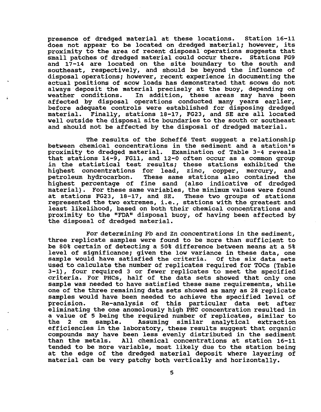presence of dredged material at these locations. station 16-11 does not appear to be located on dredged material; however, its proximity to the area of recent disposal operations suggests that small patches of dredged material could occur there. Stations FG9 and 17-14 are located on the site boundary to the south and southeast, respectively, and should be beyond the influence of disposal operations; however, recent experience in documenting the actual positions of scow loads has demonstrated that scows do not always deposit the material precisely at the buoy, depending on weather conditions. In addition, these areas may have been In addition, these areas may have been affected by disposal operations conducted many years earlier, before adequate controls were established for disposing dredged material. Finally, stations 18-17, FG23, and SE are all located well outside the disposal site boundaries to the south or southeast and should not be affected by the disposal of dredged material.

The results of the Scheffe Test suggest a relationship between chemical concentrations in the sediment and a station's proximity to dredged material. Examination of Table 3-4 reveals that stations 14-9, FGll, and 12-0 often occur as a common group in the statistical test results; these stations exhibited the highest concentrations for lead, zinc, copper, mercury, and highest concentrations for lead, zinc, copper, mercury, petroleum hydrocarbon. These same stations also contained These same stations also contained the highest percentage of fine sand (also indicative of dredged material). For these same variables, the minimum values were found at stations FG23, 18-17, and SE. These two groups of stations represented the two extremes, i.e., stations with the greatest and least likelihood, based on both their chemical concentrations and proximity to the "FDA" disposal buoy, of having been affected by the disposal of dredged material.

For determining Pb and Zn concentrations in the sediment, three replicate samples were found to be more than sufficient to be 80% certain of detecting a 50% difference between means at a 5% level of significance; given the low variance in these data, one sample would have satisfied the criteria. Of the six data sets sample would have satisfied the criteria. used to calculate the number of replicates required for TOCs (Table 3-1), four required 3 or fewer replicates to meet the specified criteria. For PHCS, half of the data sets showed that only one sample was needed to have satisfied these same requirements, while one of the three remaining data sets showed as many as 28 replicate samples would have been needed to achieve the specified level of Re-analysis of this particular data set after eliminating the one anomolously high PHC concentration resulted in a value of 5 being the required number of replicates, similar to<br>the 2 cm sample. Assuming similar analytical extraction similar analytical extraction efficiencies in the laboratory, these results suggest that organic compounds may have been less evenly distributed in the sediment All chemical concentrations at station 16-11 tended to be more variable, most likely due to the station being at the edge of the dredged material deposit where layering of material can be very patchy both vertically and horizontally.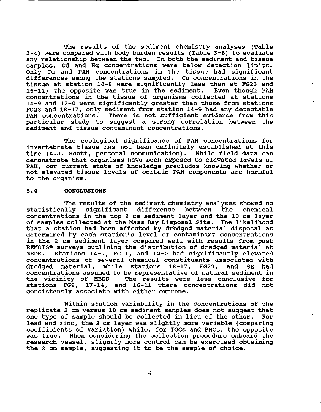The results of the sediment chemistry analyses (Table 3-4) were compared with body burden results (Table 3-8) to evaluate any relationship between the two. In both the sediment and tissue samples, Cd and Hg concentrations were below detection limits. Only Cu and PAH concentrations in the tissue had significant differences among the stations sampled. Cu concentrations in the tissue at station 14-9 were significantly less than at FG23 and<br>16-11; the opposite was true in the sediment. Even though PAH  $16-11$ ; the opposite was true in the sediment. concentrations in the tissue of organisms collected at stations 14-9 and 12-0 were significantly greater than those from stations FG23 and 18-17, only sediment from station 14-9 had any detectable PAH concentrations. There is not sufficient evidence from this particular study to suggest a strong correlation between the sediment and tissue contaminant concentrations.

The ecological significance of PAH concentrations for invertebrate tissue has not been definitely established at this time (K.J. Scott, personal communication). While field data can demonstrate that organisms have been exposed to elevated levels of PAH, our current state of knowledge precludes knowing whether or not elevated tissue levels of certain PAH components are harmful to the organism.

#### **5.0 CONCLUSIONS**

The results of the sediment chemistry analyses showed no<br>statistically significant difference between the chemical significant difference between concentrations in the top 2 cm sediment layer and the 10 cm layer of samples collected at the Mass Bay Disposal site. The likelihood that a station had been affected by dredged material disposal as determined by each station's level of contaminant concentrations in the 2 cm sediment layer compared well with results from past REMOTS® surveys outlining the distribution of dredged material at<br>MBDS. Stations 14-9. FG11. and 12-0 had significantly elevated Stations  $14-9$ , FG11, and  $12-0$  had significantly elevated concentrations of several chemical constituents associated with dredged material, while stations 18-17, FG23, concentrations assumed to be representative of natural sediment in the vicinity of MBDS. The results were less conclusive for stations FG9, 17-14, and 16-11 where concentrations did not consistently associate with either extreme.

within-station variability in the concentrations of the replicate 2 cm versus 10 cm sediment samples does not suggest that one type of sample should be collected in lieu of the other. lead and zinc, the 2 cm layer was slightly more variable (comparing coefficients of variation) while, for TOCs and PHCs, the opposite was true. When considering the collection procedure onboard the research vessel, slightly more control can be exercised obtaining the 2 cm sample, suggesting it to be the sample of choice.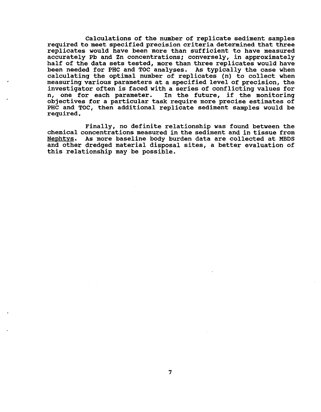Calculations of the number of replicate sediment samples required to meet specified precision criteria determined that three replicates would have been more than sufficient to have measured accurately Pb and Zn concentrations; conversely, in approximately half of the data sets tested, more than three replicates would have been needed for PHC and TOC analyses. As typically the case when calculating the optimal number of replicates (n) to collect when measuring various parameters at a specified level of precision, the investigator often is faced with a series of conflicting values for n, one for each parameter. In the future, if the monitoring objectives for a particular task require more precise estimates of PHC and TOC, then additional replicate sediment samples would be required.

Finally, no definite relationship was found between the chemical concentrations measured in the sediment and in tissue from Nephtys. As more baseline body burden data are collected at MBDS and other dredged material disposal sites, a better evaluation of this relationship may be possible.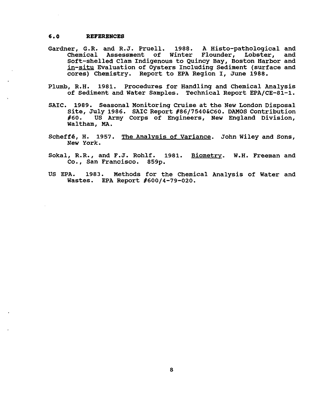#### **6.0 REFERENCES**

- Gardner, G.R. and R.J. Pruell. 1988. A Histo-pathological and Chemical Assessment of winter Flounder, Lobster, and Soft-shelled Clam Indigenous to Quincy Bay, Boston Harbor and in-situ Evaluation of Oysters Including Sediment (surface and cores) Chemistry. Report to EPA Region I, June 1988.
- Plumb, R.H. 1981. Procedures for Handling and Chemical Analysis of Sediment and Water Samples. Technical Report EPA/CE-81-1.
- SAIC. 1989. Seasonal Monitoring Cruise at the New London Disposal Site, July 1986. SAIC Report #86/7540&C60. DAMOS Contribution #60. US Army Corps of Engineers, New England Division, Waltham, MA.
- Scheffe, H. 1957. The Analysis of Variance. John Wiley and Sons, New York.
- Sokal, R.R., and F.J. Rohlf. 1981. Biometry. W.H. Freeman and Co., San Francisco. 859p.
- US EPA. 1983. Methods for the Chemical Analysis of Water and Wastes. EPA Report #600/4-79-020.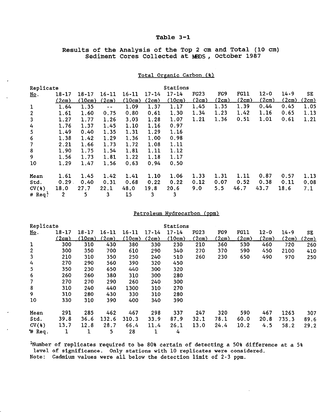Results of the Analysis of the Top 2 cm and Total (10 cm) Sediment Cores Collected at MBDS, October 1987

#### Total Organic Carbon (%)

| Replicate        |                |           |           |           |           | Stations  |             |       |       |          |          |              |
|------------------|----------------|-----------|-----------|-----------|-----------|-----------|-------------|-------|-------|----------|----------|--------------|
| <u>No</u> .      | $18 - 17$      | $18 - 17$ | $16 - 11$ | $16 - 11$ | $17 - 14$ | $17 - 14$ | <b>FG23</b> | FG9   | FG11  | $12 - 0$ | $14 - 9$ | SE           |
|                  | (2cm)          | (10cm)    | (2cm)     | (10cm)    | (2cm)     | (10cm)    | (2cm)       | (2cm) | (2cm) | (2cm)    | (2cm)    | <u>(2cm)</u> |
| $\mathbf{1}$     | 1.64           | 1.35      | $- -$     | 1.09      | 1.37      | 1.17      | 1.45        | 1.35  | 1.39  | 0.44     | 0.45     | 1.05         |
| $\overline{2}$   | 1.61           | 1.60      | 0.75      | 0.80      | 0.61      | 1,30      | 1.34        | 1.23  | 1.42  | 1.16     | 0.65     | 1.13         |
| 3                | 1.27           | 1.77      | 1.26      | 3.03      | 1.28      | 1.07      | 1.21        | 1.36  | 0.51  | 1.01     | 0.61     | 1.21         |
| 4                | 1.76           | 1.37      | 1.45      | 1.10      | 1.16      | 0.97      |             |       |       |          |          |              |
| 5                | 1.49           | 0.40      | 1.35      | 1.31      | 1.29      | 1.16      |             |       |       |          |          |              |
| 6                | 1.38           | 1.42      | 1.29      | 1.36      | 1.00      | 0.98      |             |       |       |          |          |              |
| 7                | 2.21           | 1.66      | 1.73      | 1.72      | 1.08      | 1.11      |             |       |       |          |          |              |
| 8                | 1.90           | 1.75      | 1.54      | 1.81      | 1.11      | 1.12      |             |       |       |          |          |              |
| 9                | 1.56           | 1.73      | 1.81      | 1.22      | 1.18      | 1.17      |             |       |       |          |          |              |
| 10               | 1.29           | 1.47      | 1.56      | 0.63      | 0.94      | 0.50      |             |       |       |          |          |              |
| Mean             | 1.61           | 1.45      | 1.42      | 1.41      | 1.10      | 1.06      | 1.33        | 1.31  | 1.11  | 0.87     | 0.57     | 1.13         |
| Std.             | 0.29.          | 0.40      | 0.31      | 0.68      | 0.22      | 0.22      | 0.12        | 0.07  | 0.52  | 0.38     | 0.11     | 0.08         |
| CV(3)            | 18.0           | 27.7      | 22.1      | 48.0      | 19.8      | 20.6      | 9.0         | 5.5   | 46.7  | 43.7     | 18.6     | 7.1          |
| # $\text{Re}q$ . | $\overline{2}$ | 5         | 3         | 15        | 3         | 3         |             |       |       |          |          |              |

#### Petroleum Hydrocarbon (ppm)

| Replicate        |           |           |           |           |           | Stations  |       |       |       |       |              |       |
|------------------|-----------|-----------|-----------|-----------|-----------|-----------|-------|-------|-------|-------|--------------|-------|
| <u>No</u> .      | $18 - 17$ | $18 - 17$ | $16 - 11$ | $16 - 11$ | $17 - 14$ | $17 - 14$ | FG23  | FG9   | FG11  | 12-0  | $14 - 9$     | SE    |
|                  | (2cm)     | (10cm)    | 2cm)      | (10cm)    | (2cm)     | (10cm)    | (2cm) | (2cm) | (2cm) | (2cm) | <u>(2cm)</u> | (2cm) |
| $\mathbf 1$      | 300       | 310       | 430       | 380       | 330       | 230       | 210   | 360   | 530   | 460   | 720          | 260   |
| $\boldsymbol{2}$ | 300       | 350       | 700       | 610       | 290       | 340       | 270   | 370   | 590   | 450   | 2100         | 410   |
| 3                | 210       | 310       | 350       | 250       | 240       | 510       | 260   | 230   | 650   | 490   | 970          | 250   |
| 4                | 270       | 290       | 560       | 390       | 320       | 450       |       |       |       |       |              |       |
| 5                | 350       | 230       | 650       | 440       | 300       | 320       |       |       |       |       |              |       |
| 6                | 260       | 260       | 380       | 310       | 300       | 280       |       |       |       |       |              |       |
| 7                | 270       | 270       | 290       | 260       | 240       | 300       |       |       |       |       |              |       |
| 8                | 310       | 240       | 440       | 1300      | 310       | 270       |       |       |       |       |              |       |
| 9                | 310       | 280       | 430       | 330       | 310       | 280       |       |       |       |       |              |       |
| 10               | 330       | 310       | 390       | 400       | 340       | 390       |       |       |       |       |              |       |
| Mean             | 291       | 285       | 462       | 467       | 298       | 337       | 247   | 320   | 590   | 467   | 1263         | 307   |
| Std.             | 39.8      | 36.6      | 132.6     | 310.3     | 33.9      | 87.9      | 32.1  | 78.1  | 60.0  | 20.8  | 735.3        | 89.6  |
| $CV(*)$          | 13.7      | 12.8      | 28.7      | 66.4      | 11.4      | 26.1      | 13.0  | 24.4  | 10.2  | 4.5   | 58.2         | 29.2  |
| # Req.           |           |           | 5         | 28        | 1         | 4         |       |       |       |       |              |       |

<sup>1</sup>Number of replicates required to be 80% certain of detecting a 50% difference at a 5% level of significance. Only stations with 10 replicates were considered. Note: Cadmium values were all below the detection limit of 2-3 ppm.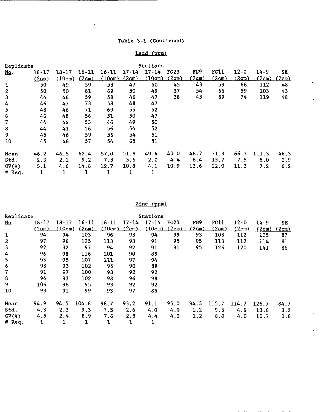# Table 3-1 (Continued)

--------------

 $\ddot{\phantom{0}}$ 

 $\ddot{\phantom{0}}$ 

 $\overline{a}$ 

# Lead (ppm)

| Replicate        |           |           |           |           |           | Stations  |       |              |             |          |          |       |
|------------------|-----------|-----------|-----------|-----------|-----------|-----------|-------|--------------|-------------|----------|----------|-------|
| <u>No</u> .      | $18 - 17$ | $18 - 17$ | $16 - 11$ | $16 - 11$ | $17 - 14$ | $17 - 14$ | FG23  | FG9          | <b>FG11</b> | $12 - 0$ | $14 - 9$ | SE    |
|                  | (2cm)     | (10cm)    | (2cm)     | (10cm)    | (2cm)     | (10cm)    | (2cm) | <u>(2cm)</u> | (2cm)       | (2cm)    | (2cm)    | (2cm) |
| $\mathbf{1}$     | 50        | 49        | 59        | 53        | 47        | 50        | 45    | 43           | 59          | 66       | 112      | 48    |
| $\boldsymbol{2}$ | 50        | 50        | 81        | 69        | 50        | 49        | 37    | 54           | 66          | 59       | 103      | 43    |
| 3                | 44        | 46        | 59        | 58        | 46        | 47        | 38    | 43           | 89          | 74       | 119      | 48    |
| 4                | 46        | 47        | 73        | 58        | 48        | 47        |       |              |             |          |          |       |
| 5                | 48        | 46        | 71        | 69        | 55        | 52        |       |              |             |          |          |       |
| 6                | 46        | 48        | 56        | 51        | 50        | 47        |       |              |             |          |          |       |
| 7                | 44        | 44        | 53        | 46        | 49        | 50        |       |              |             |          |          |       |
| 8                | 44        | 43        | 56        | 56        | 54        | 52        |       |              |             |          |          |       |
| 9                | 45        | 46        | 59        | 56        | 54        | 51        |       |              |             |          |          |       |
| 10               | 45        | 46        | 57        | 54        | 65        | 51        |       |              |             |          |          |       |
| Mean             | 46.2      | 46.5      | 62.4      | 57.0      | 51.8      | 49.6      | 40.0  | 46.7         | 71.3        | 66.3     | 111.3    | 46.3  |
| Std.             | 2.3       | 2.1       | 9.2       | 7.3       | 5.6       | 2.0       | 4.4   | 6.4          | 15.7        | 7.5      | 8.0      | 2.9   |
| CV(3)            | 5.1       | 4.6       | 14.8      | 12.7      | 10.8      | 4.1       | 10.9  | 13.6         | 22.0        | 11.3     | 7.2      | 6.2   |
| $#$ Req.         | 1         | 1         | 1         | 1         | 1         | 1         |       |              |             |          |          |       |

# Zinc (ppm)

| Replicate        |           |           |           |           |           | Stations  |             |       |             |          |          |       |
|------------------|-----------|-----------|-----------|-----------|-----------|-----------|-------------|-------|-------------|----------|----------|-------|
| No.              | $18 - 17$ | $18 - 17$ | $16 - 11$ | $16 - 11$ | $17 - 14$ | $17 - 14$ | <b>FG23</b> | FG9   | <b>FG11</b> | $12 - 0$ | $14 - 9$ | SE    |
|                  | (2cm)     | (10cm)    | (2cm)     | (10cm)    | (2cm)     | (10cm)    | (2cm)       | (2cm) | (2cm)       | (2cm)    | (2cm)    | (2cm) |
| $\mathbf 1$      | 94        | 94        | 103       | 96        | 93        | 94        | 99          | 93    | 108         | 112      | 125      | 87    |
| $\boldsymbol{2}$ | 97        | 96        | 125       | 113       | 93        | 91        | 95          | 95    | 113         | 112      | 114      | 81    |
| 3                | 92        | 92        | 97        | 94        | 92        | 91        | 91          | 95    | 126         | 120      | 141      | 86    |
| 4                | 96        | 98        | 116       | 101       | 90        | 85        |             |       |             |          |          |       |
| 5                | 93        | 95        | 107       | 111       | 97        | 94        |             |       |             |          |          |       |
| 6                | 93        | 93        | 102       | 95        | 90        | 89        |             |       |             |          |          |       |
| 7                | 91        | 97        | 100       | 93        | 92        | 92        |             |       |             |          |          |       |
| 8                | 94        | 93        | 102       | 98        | 96        | 98        |             |       |             |          |          |       |
| 9                | 106       | 96        | 95        | 93        | 92        | 92        |             |       |             |          |          |       |
| 10               | 93        | 91        | 99        | 93        | 97        | 85        |             |       |             |          |          |       |
| Mean             | 94.9      | 94.5      | 104.6     | 98.7      | 93.2      | 91.1      | 95.0        | 94.3  | 115.7       | 114.7    | 126.7    | 84.7  |
| Std.             | 4.3       | 2.3       | 9.3       | 7.5       | 2.6       | 4.0       | 4.0         | 1.2   | 9.3         | 4.6      | 13.6     | 3.2   |
| CV(%)            | 4.5       | 2.4       | 8.9       | 7.6       | 2.8       | 4.4       | 4.2         | 1.2   | 8.0         | 4.0      | 10.7     | 3.8   |
| $#$ Req.         | 1         | 1         | 1         | 1         | 1         | 1         |             |       |             |          |          |       |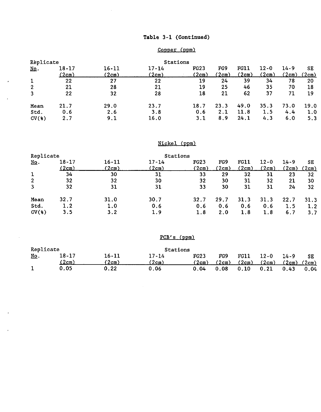# Table 3-1 (Continued)

 $\sim 10^{-1}$ 

 $\bar{z}$ 

 $\ddot{\phantom{a}}$ 

 $\sim 10^7$ 

 $\hat{\mathbf{r}}$ 

 $\ddot{\phantom{a}}$ 

# **Copper (ppm)**

| Replicate    |       |           | Stations     |              |              |             |              |          |       |
|--------------|-------|-----------|--------------|--------------|--------------|-------------|--------------|----------|-------|
| <u>No</u> .  | 18-17 | $16 - 11$ | $17 - 14$    | <b>FG23</b>  | FG9          | <b>FG11</b> | $12 - 0$     | $14 - 9$ | SE    |
|              | (2cm) | (2cm)     | <u>(2cm)</u> | <u>(2cm)</u> | <u>(2cm)</u> | (2cm)       | <u>(2cm)</u> | (2cm)    | (2cm) |
|              | 22    | 27        | 22           | 19           | 24           | 39          | 34           | 78       | 20    |
| $\mathbf{2}$ | 21    | 28        | 21           | 19           | 25           | 46          | 35           | 70       | 18    |
| 3            | 22    | 32        | 28           | 18           | 21           | 62          | 37           | 71       | 19    |
| Mean         | 21.7  | 29.0      | 23.7         | 18.7         | 23.3         | 49.0        | 35.3         | 73.0     | 19.0  |
| Std.         | 0.6   | 2.6       | 3.8          | 0.6          | 2.1          | 11.8        | 1.5          | 4.4      | 1.0   |
| CV(3)        | 2.7   | 9.1       | 16.0         | 3.1          | 8.9          | 24.1        | 4.3          | 6.0      | 5.3   |

# Nickel (ppm)

| Replicate                 |              |       | Stations  |             |              |              |          |              |       |
|---------------------------|--------------|-------|-----------|-------------|--------------|--------------|----------|--------------|-------|
| $\underline{\text{No}}$ . | $18 - 17$    | 16-11 | $17 - 14$ | <b>FG23</b> | FG9          | <b>FG11</b>  | $12 - 0$ | $14 - 9$     | SE    |
|                           | <u>(2cm)</u> | (2cm) | (2cm)     | (2cm)       | <u>(2cm)</u> | <u>(2cm)</u> | (2cm)    | <u>(2cm)</u> | (2cm) |
| 1                         | 34           | 30    | 31        | 33          | 29           | 32           | 31       | 23           | 32    |
| $\overline{2}$            | 32           | 32    | 30        | 32          | 30           | 31           | 32       | 21           | 30    |
| 3                         | 32           | 31    | 31        | 33          | 30           | 31           | 31       | 24           | 32    |
| Mean                      | 32.7         | 31.0  | 30.7      | 32.7        | 29.7         | 31.3         | 31.3     | 22.7         | 31.3  |
| Std.                      | 1.2          | 1.0   | 0.6       | 0.6         | 0.6          | 0.6          | 0.6      | 1.5          | 1.2   |
| $CV(*)$                   | 3.5          | 3.2   | 1.9       | 1.8         | 2,0          | 1.8          | 1.8      | 6.7          | 3.7   |

# PCB's (ppm)

| Replicate                 |       |       | Stations  |      |       |       |        |                 |      |
|---------------------------|-------|-------|-----------|------|-------|-------|--------|-----------------|------|
| $\underline{\text{No}}$ . | 18-17 | 16-11 | $17 - 14$ | FG23 | FG9   | FG11  | $12-0$ | $14-9$          | SE   |
|                           | '2cm) | (2cm) | 2cm       | 2cm  | (2cm) | (2cm) | (2cm)  | $(2cm)$ $(2cm)$ |      |
|                           | 0.05  | 0.22  | 0.06      | 0.04 | 0.08  | 0.10  | 0.21   | 0.43            | 0.04 |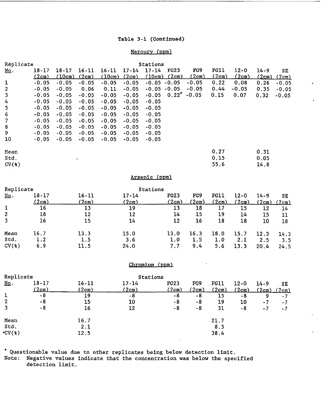### Table 3-1 (Continued)

## Mercury (ppm)

÷

 $\epsilon$ 

| Réplicate                 |           |           |           |           |           | Stations            |             |         |             |          |          |                        |
|---------------------------|-----------|-----------|-----------|-----------|-----------|---------------------|-------------|---------|-------------|----------|----------|------------------------|
| <u>No</u> .               | $18 - 17$ | $18 - 17$ | $16 - 11$ | $16 - 11$ |           | $17 - 14 - 17 - 14$ | <b>FG23</b> | FG9     | <b>FG11</b> | $12 - 0$ | $14 - 9$ | $\mathbf{S}\mathbf{E}$ |
|                           | (2cm)     | (10cm)    | (2cm)     | (10cm)    | (2cm)     | (10cm)              | (2cm)       | (2cm)   | (2cm)       | (2cm)    | (2cm)    | (2cm)                  |
| $\mathbf 1$               | $-0.05$   | $-0.05$   | $-0.05$   | $-0.05$   | $-0.05$   | $-0.05 - 0.05$      |             | $-0.05$ | 0.22        | 0.08     | 0.26     | $-0.05$                |
| $\boldsymbol{2}$          | $-0.05$   | $-0.05$   | 0.06      | 0.11      | $-0.05$   | $-0.05 - 0.05$      |             | $-0.05$ | 0.44        | $-0.05$  | 0.35     | $-0.05$                |
| 3                         | $-0.05$   | $-0.05$   | $-0.05$   | $-0.05$   | $-0.05$   | $-0.05$             | $0.22*$     | $-0.05$ | 0.15        | 0.07     | 0.32     | $-0.05$                |
| 4                         | $-0.05$   | $-0.05$   | $-0.05$   | $-0.05$   | $-0.05$   | $-0.05$             |             |         |             |          |          |                        |
| 5                         | $-0.05$   | $-0.05$   | $-0.05$   | $-0.05$   | $-0.05$   | $-0.05$             |             |         |             |          |          |                        |
| 6                         | $-0.05$   | $-0.05$   | $-0.05$   | $-0.05$   | $-0.05$   | $-0.05$             |             |         |             |          |          |                        |
| $\overline{\mathcal{I}}$  | $-0.05$   | $-0.05$   | $-0.05$   | $-0.05$   | $-0.05$   | $-0.05$             |             |         |             |          |          |                        |
| ${\bf 8}$                 | $-0.05$   | $-0.05$   | $-0.05$   | $-0.05$   | $-0.05$   | $-0.05$             |             |         |             |          |          |                        |
| 9                         | $-0.05$   | $-0.05$   | $-0.05$   | $-0.05$   | $-0.05$   | $-0.05$             |             |         |             |          |          |                        |
| 10                        | $-0.05$   | $-0.05$   | $-0.05$   | $-0.05$   | $-0.05$   | $-0.05$             |             |         |             |          |          |                        |
| Mean                      |           |           |           |           |           |                     |             |         | 0.27        |          | 0.31     |                        |
| Std.                      |           |           |           |           |           |                     |             |         | 0.15        |          | 0.05     |                        |
| CV(3)                     |           |           |           |           |           |                     |             |         | 55.6        |          | 14.8     |                        |
|                           |           |           |           |           |           | Arsenic (ppm)       |             |         |             |          |          |                        |
| Replicate                 |           |           |           |           |           | Stations            |             |         |             |          |          |                        |
| $\underline{\text{No}}$ . | $18 - 17$ |           | $16 - 11$ |           | $17 - 14$ |                     | <b>FG23</b> | FG9     | <b>FG11</b> | $12 - 0$ | $14 - 9$ | SE                     |
|                           | (2cm)     |           | (2cm)     |           | (2cm)     |                     | (2cm)       | (2cm)   | (2cm)       | (2cm)    | (2cm)    | (2cm)                  |
| $\mathbf 1$               | 16        |           | 13        |           | 19        |                     | 13          | 18      | 17          | 15       | 12       | 14                     |
| $\overline{\mathbf{c}}$   | 18        |           | 12        |           | 12        |                     | 14          | 15      | 19          | 14       | 15       | 11                     |
| $\overline{\mathbf{3}}$   | 16        |           | 15        |           | 14        |                     | 12          | 16      | 18          | 18       | 10       | 18                     |
| Mean                      | 16.7      |           | 13.3      |           | 15.0      |                     | 13.0        | 16.3    | 18.0        | 15.7     | 12.3     | 14.3                   |
| Std.                      | 1.2       |           | 1.5       |           | 3.6       |                     | 1.0         | 1.5     | 1.0         | 2.1      | 2.5      | 3.5                    |
| CV(%)                     | 6.9       |           | 11.5      |           | 24.0      |                     | 7.7         | 9.4     | 5.6         | 13.3     | 20.4     | 24.5                   |
|                           |           |           |           |           |           | Chromium (ppm)      |             |         |             |          |          |                        |
| Replicate                 |           |           |           |           |           | Stations            |             |         |             |          |          |                        |
| <u>No</u> .               | $18 - 17$ |           | $16 - 11$ |           | $17 - 14$ |                     | <b>FG23</b> | FG9     | <b>FG11</b> | $12 - 0$ | $14 - 9$ | <b>SE</b>              |
|                           | (2cm)     |           | (2cm)     |           | (2cm)     |                     | (2cm)       | (2cm)   | (2cm)       | (2cm)    | (2cm)    | (2cm)                  |
| $\mathbf 1$               | $-8$      |           | 19        |           | $-8$      |                     | $-8$        | $-8$    | 15          | $-8$     | 9        | $-7$                   |
| $\overline{2}$            | $-8$      |           | 15        |           | 10        |                     | $-8$        | $-8$    | 19          | 10       | $-7$     | $-7$                   |
| 3                         | $-8$      |           | 16        |           | 12        |                     | $-8$        | $-8$    | 31          | $-8$     | $-7$     | $-7$                   |
| Mean                      |           |           | 16.7      |           |           |                     |             |         | 21.7        |          |          |                        |

 $*$  Questionable value due to other replicates being below detection limit.

 $Std.$   $2.1$   $8.3$  $\text{CV}(*)$  12.5 38.4

Note: Negative values indicate that the concentration was below the specified detection limit.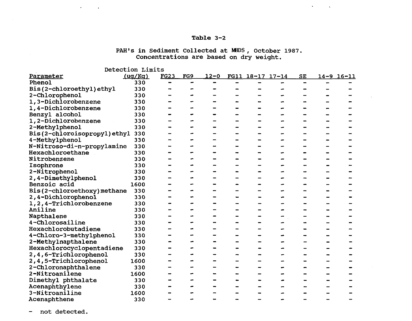$\mathcal{L}(\mathbf{x})$  , and  $\mathcal{L}(\mathbf{x})$ 

PAH's in Sediment collected at MBDS, October 1987. Concentrations are based on dry weight.

Detection Limits

 $\mathcal{A}^{\mathcal{A}}$  and  $\mathcal{A}^{\mathcal{A}}$  . The  $\mathcal{A}^{\mathcal{A}}$ 

| Parameter                   | (ug/Kg) | <b>FG23</b> | FG9 | $12 - 0$ | FG11 18-17 17-14 | SE | 14-9 16-11 |
|-----------------------------|---------|-------------|-----|----------|------------------|----|------------|
| Phenol                      | 330     |             |     |          |                  |    |            |
| Bis(2-chloroethyl)ethyl     | 330     |             |     |          |                  |    |            |
| 2-Chlorophenol              | 330     |             |     |          |                  |    |            |
| 1,3-Dichlorobenzene         | 330     |             |     |          |                  |    |            |
| 1,4-Dichlorobenzene         | 330     |             |     |          |                  |    |            |
| Benzyl alcohol              | 330     |             |     |          |                  |    |            |
| 1,2-Dichlorobenzene         | 330     |             |     |          |                  |    |            |
| 2-Methylphenol              | 330     |             |     |          |                  |    |            |
| Bis(2-chloroisopropyl)ethyl | 330     |             |     |          |                  |    |            |
| 4-Methylphenol              | 330     |             |     |          |                  |    |            |
| N-Nitroso-di-n-propylamine  | 330     |             |     |          |                  |    |            |
| Hexachloroethane            | 330     |             |     |          |                  |    |            |
| Nitrobenzene                | 330     |             |     |          |                  |    |            |
| Isophrone                   | 330     |             |     |          |                  |    |            |
| 2-Nitrophenol               | 330     |             |     |          |                  |    |            |
| 2,4-Dimethylphenol          | 330     |             |     |          |                  |    |            |
| Benzoic acid                | 1600    |             |     |          |                  |    |            |
| Bis(2-chloroethoxy) methane | 330     |             |     |          |                  |    |            |
| 2,4-Dichlorophenol          | 330     |             |     |          |                  |    |            |
| 1,2,4-Trichlorobenzene      | 330     |             |     |          |                  |    |            |
| Aniline                     | 330     |             |     |          |                  |    |            |
| Napthalene                  | 330     |             |     |          |                  |    |            |
| 4-Chlorosailine             | 330     |             |     |          |                  |    |            |
| Hexachlorobutadiene         | 330     |             |     |          |                  |    |            |
| 4-Chloro-3-methylphenol     | 330     |             |     |          |                  |    |            |
| 2-Methylnapthalene          | 330     |             |     |          |                  |    |            |
| Hexachlorocyclopentadiene   | 330     |             |     |          |                  |    |            |
| 2,4,6-Trichlorophenol       | 330     |             |     |          |                  |    |            |
| 2,4,5-Trichlorophenol       | 1600    |             |     |          |                  |    |            |
| 2-Chloronaphthalene         | 330     |             |     |          |                  |    |            |
| 2-Nitroanilene              | 1600    |             |     |          |                  |    |            |
| Dimethyl phthalate          | 330     |             |     |          |                  |    |            |
| Acenaphthylene              | 330     |             |     |          |                  |    |            |
| 3-Nitroaniline              | 1600    |             |     |          |                  |    |            |
| Acenaphthene                | 330     |             |     |          |                  |    |            |

- not detected.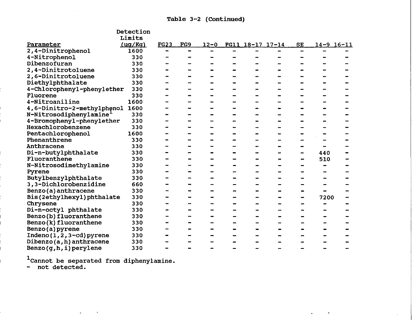|                            | Detection |                |                          |          |               |                  |           |                    |  |
|----------------------------|-----------|----------------|--------------------------|----------|---------------|------------------|-----------|--------------------|--|
|                            | Limits    |                |                          |          |               |                  |           |                    |  |
| Parameter                  | (ug/Kg)   | <b>FG23</b>    | FG9                      | $12 - 0$ |               | FG11 18-17 17-14 | <b>SE</b> | $14 - 9$ $16 - 11$ |  |
| 2,4-Dinitrophenol          | 1600      | $\blacksquare$ | $\blacksquare$           |          | $\rightarrow$ |                  | -         |                    |  |
| 4-Nitrophenol              | 330       |                | $\blacksquare$           |          |               |                  |           |                    |  |
| Dibenzofuran               | 330       |                |                          |          |               |                  |           |                    |  |
| 2,4-Dinitrotoluene         | 330       |                |                          |          |               |                  |           |                    |  |
| 2,6-Dinitrotoluene         | 330       |                | -                        |          |               |                  |           |                    |  |
| Diethylphthalate           | 330       |                |                          |          |               |                  |           |                    |  |
| 4-Chlorophenyl-phenylether | 330       |                |                          |          |               |                  |           |                    |  |
| Fluorene                   | 330       |                | $\blacksquare$           |          |               |                  |           |                    |  |
| 4-Nitroaniline             | 1600      |                |                          |          |               |                  |           |                    |  |
| 4,6-Dinitro-2-methylphenol | 1600      |                |                          |          |               |                  |           |                    |  |
| N-Nitrosodiphenylamine     | 330       |                |                          |          |               |                  |           |                    |  |
| 4-Bromophenyl-phenylether  | 330       |                |                          |          |               |                  |           |                    |  |
| Hexachlorobenzene          | 330       |                |                          |          |               |                  |           |                    |  |
| Pentachlorophenol          | 1600      |                |                          |          |               |                  |           |                    |  |
| Phenanthrene               | 330       |                |                          |          |               |                  |           |                    |  |
| Anthracene                 | 330       |                |                          |          |               |                  |           |                    |  |
| Di-n-butylphthalate        | 330       |                |                          |          |               |                  |           | 440                |  |
| Fluoranthene               | 330       |                | $\overline{\phantom{0}}$ |          |               |                  |           | 510                |  |
| N-Nitrosodimethylamine     | 330       |                |                          |          |               |                  |           |                    |  |
| Pyrene                     | 330       |                | $\overline{\phantom{0}}$ |          |               |                  |           |                    |  |
| Butylbenzylphthalate       | 330       |                |                          |          |               |                  |           |                    |  |
| 3,3-Dichlorobenzidine      | 660       |                |                          |          |               |                  |           |                    |  |
| Benzo(a) anthracene        | 330       |                |                          |          |               |                  |           |                    |  |
| Bis(2ethylhexyl)phthalate  | 330       |                | -                        |          |               |                  |           | 7200               |  |
| Chrysene                   | 330       |                |                          |          |               |                  |           | ÷                  |  |
| Di-n-octyl phthalate       | 330       |                |                          |          |               |                  |           |                    |  |
| Benzo(b) fluoranthene      | 330       |                |                          |          |               |                  |           |                    |  |
| Benzo(k) fluoranthene      | 330       |                |                          |          |               |                  |           |                    |  |
| Benzo(a) pyrene            | 330       |                |                          |          |               |                  |           |                    |  |
| Indeno(1,2,3-cd) pyrene    | 330       |                |                          |          |               |                  |           |                    |  |
| Dibenzo(a, h) anthracene   | 330       |                |                          |          |               |                  |           |                    |  |
| Benzo(g,h,i)perylene       | 330       |                |                          |          |               |                  |           |                    |  |

 $^{\rm 1}$ Cannot be separated from diphenylamine.

not detected.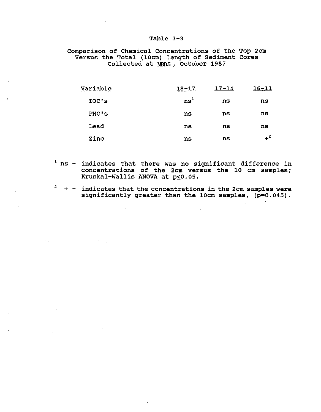Comparison of Chemical Concentrations of the Top 2cm Versus the Total (10cm) Length of Sediment Cores Collected at MBDS, October 1987

| <u>Variable</u>    | $18 - 17$       | $17 - 14$ | <u>16-11</u> |
|--------------------|-----------------|-----------|--------------|
| $\bullet$<br>TOC's | ns <sup>1</sup> | ns        | ns           |
| $PHC$ 's           | ns              | ns        | ns           |
| Lead               | ns              | ns        | ns           |
| Zinc               | ns              | ns        | $+^2$        |

- $1$  ns indicates that there was no significant difference in concentrations of the 2cm versus the 10 cm samples; which is the community of the search of the search of the search of the search of the search of the search of the search of the search of the search of the search of the search of the search of the search of the search of
- $2 + -$  indicates that the concentrations in the 2cm samples were significantly greater than the 10cm samples, (p=0.045).

 $\sim 10^{-10}$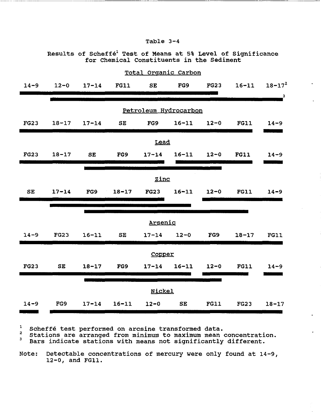Results of Scheffe $^1$  Test of Means at 5% Level of Significance for Chemical Constituents in the Sediment

|               |             |           | Total       |             | Organic Carbon        |             |             |             |
|---------------|-------------|-----------|-------------|-------------|-----------------------|-------------|-------------|-------------|
| $14 - 9$      | $12 - 0$    | $17 - 14$ | <b>FG11</b> | SE          | FG9                   | <b>FG23</b> | $16 - 11$   | $18 - 17^2$ |
|               |             |           |             |             |                       |             |             | 3           |
|               |             |           |             |             | Petroleum Hydrocarbon |             |             |             |
| <b>FG23</b>   | $18 - 17$   | $17 - 14$ | SE          | FG9         | $16 - 11$             | $12 - 0$    | <b>FG11</b> | $14 - 9$    |
|               |             |           |             | <b>Lead</b> |                       |             |             |             |
| <b>FG23</b>   | $18 - 17$   | SE        | FG9         | $17 - 14$   | $16 - 11$             | $12 - 0$    | <b>FG11</b> | $14 - 9$    |
|               |             |           |             |             |                       |             |             |             |
|               |             |           |             | Zinc        |                       |             |             |             |
|               |             |           |             |             |                       |             |             |             |
| <b>SE</b>     | $17 - 14$   | FG9       | $18 - 17$   | <b>FG23</b> | $16 - 11$             | $12 - 0$    | <b>FG11</b> | $14 - 9$    |
|               |             |           |             |             |                       |             |             |             |
|               |             |           |             | Arsenic     |                       |             |             |             |
| $14 - 9$      | <b>FG23</b> | $16 - 11$ | <b>SE</b>   | $17 - 14$   | $12 - 0$              | FG9         | $18 - 17$   | <b>FG11</b> |
|               |             |           |             | Copper      |                       |             |             |             |
| <b>FG23</b>   | SE          | $18 - 17$ | FG9         | $17 - 14$   | $16 - 11$             | $12 - 0$    | <b>FG11</b> | $14 - 9$    |
|               |             |           |             |             |                       |             |             |             |
| <b>Nickel</b> |             |           |             |             |                       |             |             |             |
| $14 - 9$      | FG9         | $17 - 14$ | $16 - 11$   | $12 - 0$    | SE                    | <b>FG11</b> | <b>FG23</b> | $18 - 17$   |

1 Scheffé test performed on arcsine transformed data.

2 stations are arranged from minimum to maximum mean concentration.

3 Bars indicate stations with means not significantly different.

Note: Detectable concentrations of mercury were only found at 14-9, 12-0, and FG11.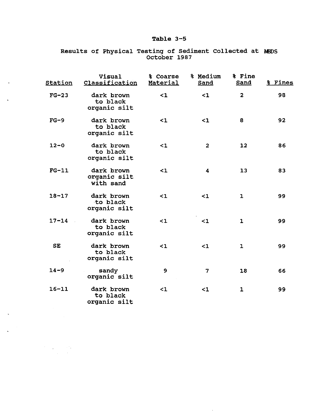# Results of Physical Testing of Sediment Collected at M3DS October 1987

 $\ddot{\phantom{a}}$ 

 $\ddot{\phantom{0}}$ 

| <u>Station</u> | Visual<br>Classification                | % Coarse<br>Material | % Medium<br>Sand        | % Fine<br><b>Sand</b> | <b>&amp; Fines</b> |
|----------------|-----------------------------------------|----------------------|-------------------------|-----------------------|--------------------|
| $FG-23$        | dark brown<br>to black<br>organic silt  | $\leq$ 1             | $\leq$ 1                | $\overline{2}$        | 98                 |
| $FG-9$         | dark brown<br>to black<br>organic silt  | $\leq$ 1             | $\leq$ 1                | 8                     | 92                 |
| $12 - 0$       | dark brown<br>to black<br>organic silt  | $\leq$ 1             | $\overline{\mathbf{z}}$ | 12                    | 86                 |
| $FG-11$        | dark brown<br>organic silt<br>with sand | $\leq$ 1             | 4                       | 13                    | 83                 |
| $18 - 17$      | dark brown<br>to black<br>organic silt  | $\leq$ 1             | $\leq$ 1                | $\mathbf{1}$          | 99                 |
| $17 - 14$      | dark brown<br>to black<br>organic silt  | $\leq$ 1             | $\leq$ 1                | $\mathbf{1}$          | 99                 |
| SE             | dark brown<br>to black<br>organic silt  | $\leq$ 1             | $\leq$ 1                | 1                     | 99                 |
| $14 - 9$       | sandy<br>organic silt                   | 9                    | 7                       | 18                    | 66                 |
| $16 - 11$      | dark brown<br>to black<br>organic silt  | $\leq$ 1             | $\leq$ 1                | $\mathbf{1}$          | 99                 |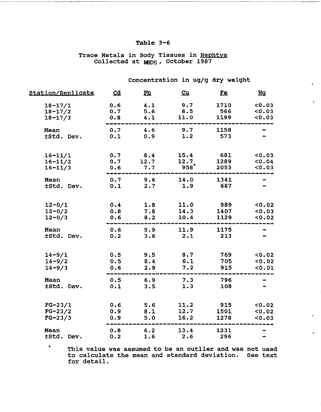# Trace Metals in Body Tissues in Nephtys Collected at MBDS, October 1987

| <u>Station/Replicate</u> | $C\overline{G}$ | $P_{\mathcal{D}}$ | $cu$    | <u>Fe</u> | Hα             |
|--------------------------|-----------------|-------------------|---------|-----------|----------------|
| $18 - 17/1$              | 0.6             | 4.1               | 9.7     | 1710      | 0.03           |
| $18 - 17/2$              | 0.7             | 5.6               | 8.5     | 566       | 0.03           |
| $18 - 17/3$              | 0.8             | 4.1               | 11.0    | 1199      | 0.03           |
| Mean                     | 0.7             | 4.6               | 9.7     | 1158      |                |
| ±Std. Dev.               | 0.1             | 0.9               | 1.2     | 573       |                |
| $16 - 11/1$              | 0.7             | 8.4               | 15.4    | 681       | 0.03           |
| $16 - 11/2$              | 0.7             | 12.7              | 12.7    | 1289      | 0.04           |
| $16 - 11/3$              | 0.6             | 7.7               | $958^*$ | 2053      | 0.03           |
| Mean                     | 0.7             | 9.6               | 14.0    | 1341      |                |
| ±Std. Dev.               | 0.1             | 2.7               | 1.9     | 687       |                |
| $12 - 0/1$               | 0.4             | 1.8               | 11.0    | 989       | 0.02           |
| $12 - 0/2$               | 0.8             | 7.8               | 14.3    | 1407      | 0.03           |
| $12 - 0/3$               | 0.6             | 8.2               | 10.4    | 1129      | 0.02           |
| Mean                     | 0.6             | 5.9               | 11.9    | 1175      |                |
| ±Std. Dev.               | 0.2             | 3.6               | 2.1     | 213       |                |
| $14 - 9/1$               | 0.5             | 9.5               | 8.7     | 769       | 0.02           |
| $14 - 9/2$               | 0.5             | 8.4               | 6.1     | 705       | 0.02           |
| $14 - 9/3$               | 0.6             | 2.9               | 7.2     | 915       | 0.01           |
| Mean                     | 0.5             | 6.9               | 7.3     | 796       |                |
| ±Std. Dev.               | 0.1             | 3.5               | 1.3     | 108       |                |
| $FG-23/1$                | 0.6             | 5.6               | 11.2    | 915       | 0.02           |
| $FG - 23/2$              | 0.9             | 8.1               | 12.7    | 1501      | 0.02           |
| $FG - 23/3$              | 0.9             | 5.0               | 16.2    | 1278      | 0.03           |
| Mean                     | 0.8             | 6.2               | 13.4    | 1231      | $\blacksquare$ |
| ±Std. Dev.               | 0.2             | 1.6               | 2.6     | 296       |                |

Concentration in ug/g dry weight

\* This value was assumed to be an outlier and was not used to calculate the mean and standard deviation. See text for detail.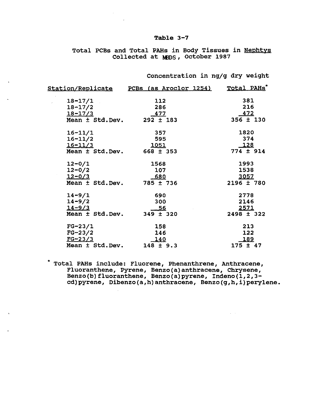Total PCBs and Total PAHs in Body Tissues in Nephtys Collected at MBDS, October 1987

Concentration in ng/g dry weight

 $\Delta \sim 10^7$ 

|                                    | <u>Station/Replicate PCBs (as Aroclor 1254)</u> | Total PAHs"               |
|------------------------------------|-------------------------------------------------|---------------------------|
| $18 - 17/1$                        | 112                                             | 381                       |
| $18 - 17/2$                        | 286                                             | 216                       |
| $18 - 17/3$                        | 477                                             | $\frac{472}{356 \pm 130}$ |
| Mean $\pm$ Std. Dev. 292 $\pm$ 183 |                                                 |                           |
| $16 - 11/1$                        | 357                                             | 1820                      |
| $16 - 11/2$                        | 595                                             | 374                       |
| $16 - 11/3$                        | <u> 1051</u>                                    |                           |
| Mean $\pm$ Std. Dev. 668 $\pm$ 353 |                                                 | $\frac{128}{774 \pm 914}$ |
| $12 - 0/1$                         | 1568                                            | 1993                      |
| $12 - 0/2$                         | 107                                             | 1538                      |
| $12 - 0/3$                         | <u>_680</u>                                     | 3057                      |
| Mean ± Std. Dev.                   | 785 ± 736                                       | 2196 ± 780                |
| $14 - 9/1$                         | 690                                             | 2778                      |
| $14 - 9/2$                         | 300                                             | 2146                      |
| $14 - 9/3$                         |                                                 | 2571                      |
| Mean ± Std.Dev.                    | $\frac{56}{349 \pm 320}$                        | $2498 \pm 322$            |
| <b>FG-23/1</b>                     | 158                                             | 213                       |
| $FG-23/2$                          | 146                                             | 122                       |
| $FG - 23/3$                        | 140                                             | 189                       |
| Mean ± Std.Dev.                    | $148 \pm 9.3$                                   | $175 \pm 47$              |

• Total PAHs include: Fluorene, Phenanthrene, Anthracene, F1uoranthene, Pyrene, Benzo(a) anthracene, chrysene, Benzo(b)fluoranthene, Benzo(a)pyrene, Indeno(1,2,3cd)pyrene, Dibenzo(a,h) anthracene, Benzo(g,h,ijperylene.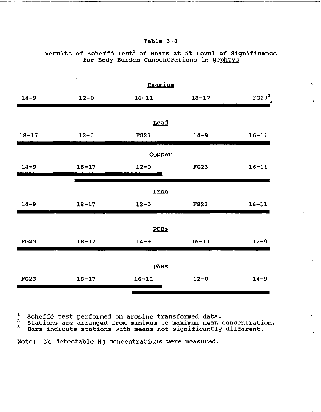## Results of Scheffé Test<sup>1</sup> of Means at 5% Level of Significance for Body Burden Concentrations in Nephtys

| Cadmium     |           |             |             |                        |  |
|-------------|-----------|-------------|-------------|------------------------|--|
| $14 - 9$    | $12 - 0$  | $16 - 11$   | $18 - 17$   | FG23 <sup>2</sup><br>3 |  |
|             |           |             |             |                        |  |
|             |           | Lead        |             |                        |  |
| $18 - 17$   | $12 - 0$  | <b>FG23</b> | $14 - 9$    | $16 - 11$              |  |
|             |           | Copper      |             |                        |  |
| $14 - 9$    | $18 - 17$ | $12 - 0$    | <b>FG23</b> | $16 - 11$              |  |
|             |           |             |             |                        |  |
|             |           | Iron        |             |                        |  |
| $14 - 9$    | $18 - 17$ | $12 - 0$    | <b>FG23</b> | $16 - 11$              |  |
|             |           |             |             |                        |  |
|             |           | <b>PCBs</b> |             |                        |  |
| <b>FG23</b> | $18 - 17$ | $14 - 9$    | $16 - 11$   | $12 - 0$               |  |
|             |           |             |             |                        |  |
|             |           | PAHS        |             |                        |  |
| <b>FG23</b> | $18 - 17$ | $16 - 11$   | $12 - 0$    | $14 - 9$               |  |
|             |           |             |             |                        |  |

1 Scheffé test performed on arcsine transformed data.

2 3 stations are arranged from minimum to maximum mean concentration.

Bars indicate stations with means not significantly different.

Note: No detectable Hg concentrations were measured.